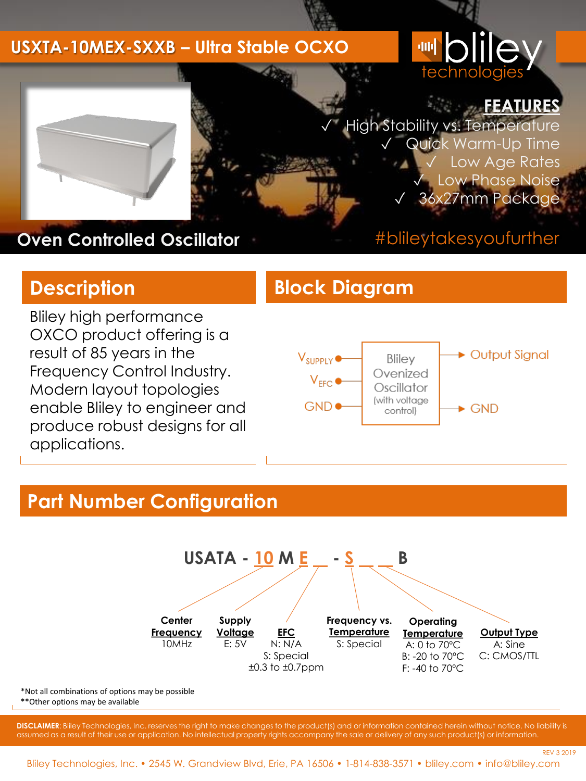#### **USXTA-10MEX-SXXB – Ultra Stable OCXO**

# technologi



✓ High Stability vs. Temperature Quick Warm-Up Time Low Age Rates Low Phase Noise 36x27mm Package



**Oven Controlled Oscillator**

#### #blileytakesyoufurther

REV 3 2019

Bliley high performance OXCO product offering is a result of 85 years in the Frequency Control Industry. Modern layout topologies enable Bliley to engineer and produce robust designs for all applications.

#### **Description Block Diagram**



#### **Part Number Configuration**



\*Not all combinations of options may be possible \*\*Other options may be available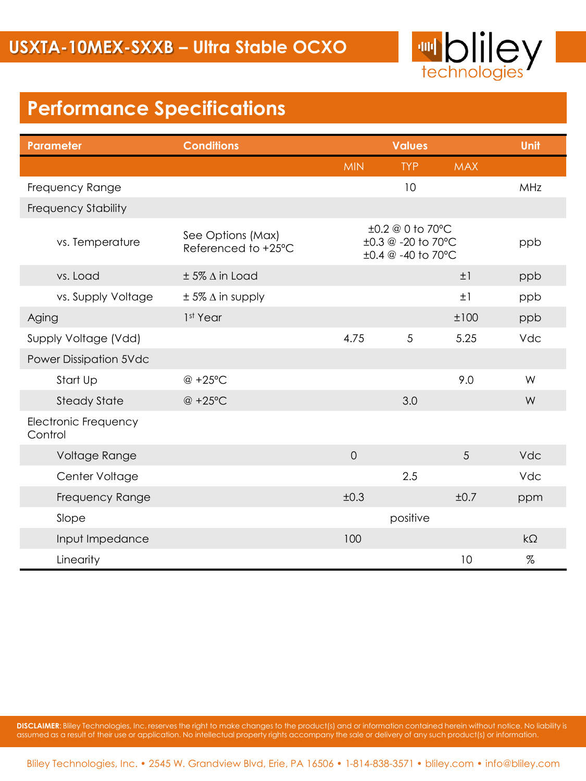

### **Performance Specifications**

| <b>Parameter</b>                | <b>Conditions</b>                        |                | <b>Values</b>                                                                  |            |           |
|---------------------------------|------------------------------------------|----------------|--------------------------------------------------------------------------------|------------|-----------|
|                                 |                                          | <b>MIN</b>     | <b>TYP</b>                                                                     | <b>MAX</b> |           |
| Frequency Range                 |                                          |                | 10                                                                             |            | MHz       |
| <b>Frequency Stability</b>      |                                          |                |                                                                                |            |           |
| vs. Temperature                 | See Options (Max)<br>Referenced to +25°C |                | $\pm 0.2 \ @ 0 \t{to} 70^{\circ}C$<br>±0.3 @ -20 to 70°C<br>±0.4 @ -40 to 70°C |            |           |
| vs. Load                        | $± 5\%$ $\Delta$ in Load                 |                |                                                                                | ±1         | ppb       |
| vs. Supply Voltage              | $± 5\%$ $\Delta$ in supply               |                |                                                                                | ±1         | ppb       |
| Aging                           | 1 <sup>st</sup> Year                     |                |                                                                                | ±100       | ppb       |
| Supply Voltage (Vdd)            |                                          | 4.75           | 5                                                                              | 5.25       | Vdc       |
| <b>Power Dissipation 5Vdc</b>   |                                          |                |                                                                                |            |           |
| Start Up                        | @ +25°C                                  |                |                                                                                | 9.0        | W         |
| <b>Steady State</b>             | @ +25°C                                  |                | 3.0                                                                            |            | W         |
| Electronic Frequency<br>Control |                                          |                |                                                                                |            |           |
| Voltage Range                   |                                          | $\overline{0}$ |                                                                                | 5          | Vdc       |
| Center Voltage                  |                                          |                | 2.5                                                                            |            | Vdc       |
| Frequency Range                 |                                          | ±0.3           |                                                                                | ±0.7       | ppm       |
| Slope                           |                                          |                | positive                                                                       |            |           |
| Input Impedance                 |                                          | 100            |                                                                                |            | $k\Omega$ |
| Linearity                       |                                          |                |                                                                                | 10         | $\%$      |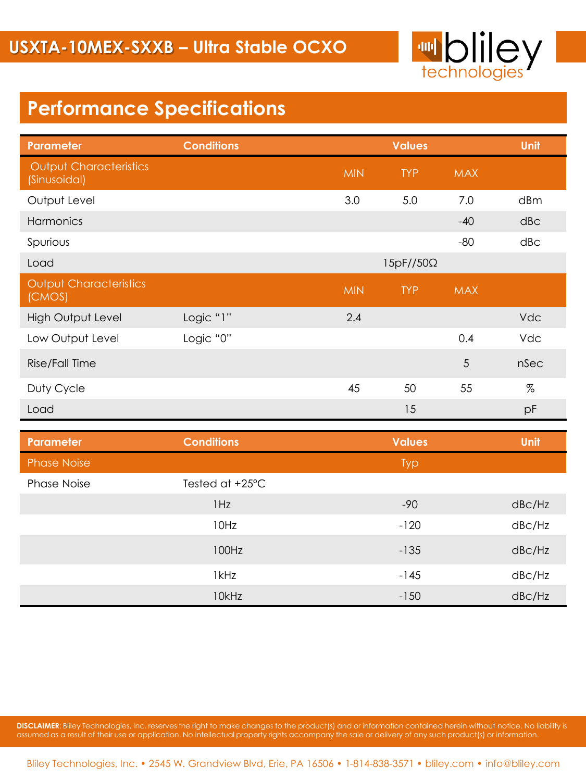

### **Performance Specifications**

| <b>Parameter</b>                              | <b>Conditions</b> | <b>Values</b> |                  |            | Unit                 |
|-----------------------------------------------|-------------------|---------------|------------------|------------|----------------------|
| <b>Output Characteristics</b><br>(Sinusoidal) |                   | <b>MIN</b>    | <b>TYP</b>       | <b>MAX</b> |                      |
| Output Level                                  |                   | 3.0           | 5.0              | 7.0        | dBm                  |
| Harmonics                                     |                   |               |                  | $-40$      | $d$ <sub>B</sub> $c$ |
| Spurious                                      |                   |               |                  | $-80$      | dB <sub>C</sub>      |
| Load                                          |                   |               | $15pF//50\Omega$ |            |                      |
| <b>Output Characteristics</b><br>(CMOS)       |                   | <b>MIN</b>    | <b>TYP</b>       | <b>MAX</b> |                      |
| <b>High Output Level</b>                      | Logic "1"         | 2.4           |                  |            | Vdc                  |
| Low Output Level                              | Logic "0"         |               |                  | 0.4        | Vdc                  |
| Rise/Fall Time                                |                   |               |                  | 5          | nSec                 |
| Duty Cycle                                    |                   | 45            | 50               | 55         | $\%$                 |
| Load                                          |                   |               | 15               |            | pF                   |

| Parameter          | <b>Conditions</b> | <b>Values</b> | Unit                |
|--------------------|-------------------|---------------|---------------------|
| <b>Phase Noise</b> |                   | <b>Typ</b>    |                     |
| <b>Phase Noise</b> | Tested at +25°C   |               |                     |
|                    | 1Hz               | $-90$         | dB <sub>C</sub> /Hz |
|                    | 10Hz              | $-120$        | dB <sub>C</sub> /Hz |
|                    | 100Hz             | $-135$        | dB <sub>C</sub> /Hz |
|                    | 1kHz              | $-145$        | dB <sub>C</sub> /Hz |
|                    | 10kHz             | $-150$        | dBc/Hz              |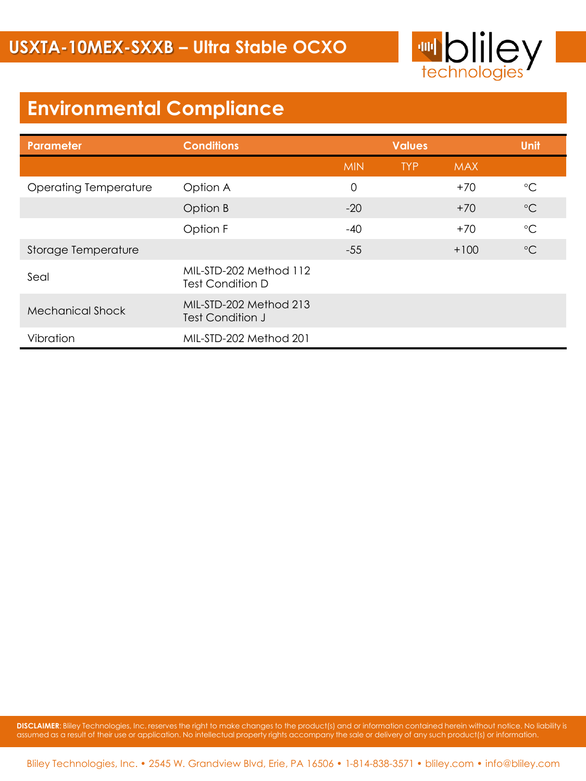

## **Environmental Compliance**

| Parameter                    | <b>Conditions</b>                                 | <b>Values</b> |            |            | <b>Unit</b>       |
|------------------------------|---------------------------------------------------|---------------|------------|------------|-------------------|
|                              |                                                   | <b>MIN</b>    | <b>TYP</b> | <b>MAX</b> |                   |
| <b>Operating Temperature</b> | Option A                                          | $\Omega$      |            | $+70$      | $\rm ^{\circ}C$   |
|                              | Option B                                          | $-20$         |            | $+70$      | $\rm ^{\circ}C$   |
|                              | Option F                                          | $-40$         |            | $+70$      | $^{\circ}{\rm C}$ |
| <b>Storage Temperature</b>   |                                                   | $-55$         |            | $+100$     | $\rm ^{\circ}C$   |
| Seal                         | MIL-STD-202 Method 112<br><b>Test Condition D</b> |               |            |            |                   |
| <b>Mechanical Shock</b>      | MIL-STD-202 Method 213<br>Test Condition J        |               |            |            |                   |
| Vibration                    | MIL-STD-202 Method 201                            |               |            |            |                   |